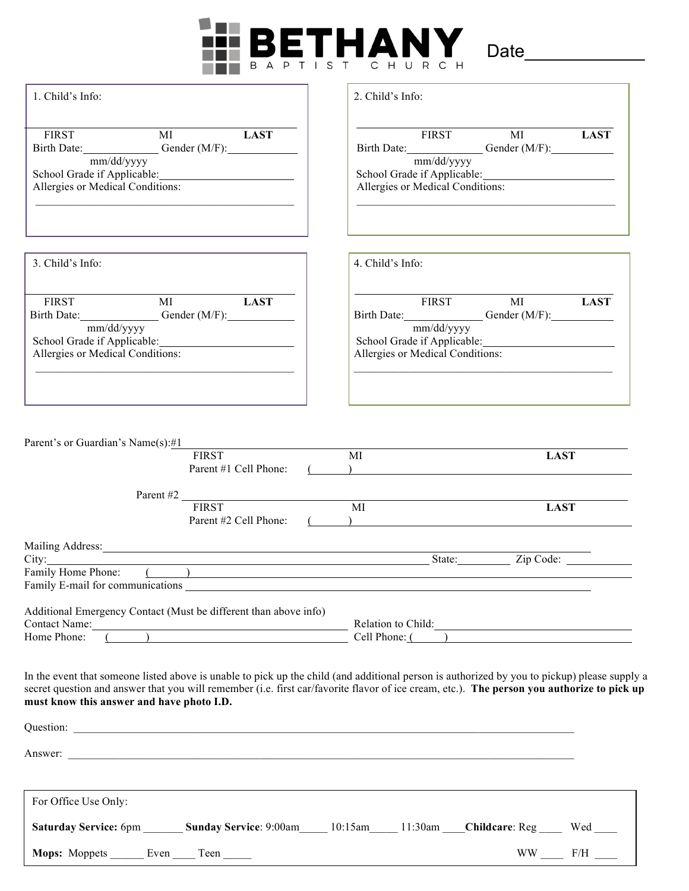

| 2. Child's Info:                                                                                                                                                                                                                                                                           |
|--------------------------------------------------------------------------------------------------------------------------------------------------------------------------------------------------------------------------------------------------------------------------------------------|
| FIRST MI LAST<br>Birth Date: Gender (M/F):<br>mm/dd/yyyy<br>School Grade if Applicable: Manual Applicable Applicable Application<br>Allergies or Medical Conditions:                                                                                                                       |
| 4. Child's Info:                                                                                                                                                                                                                                                                           |
| FIRST MI LAST<br>Birth Date: Gender (M/F):<br>mm/dd/yyyy<br>Allergies or Medical Conditions:                                                                                                                                                                                               |
| MI<br><b>LAST</b><br>$\begin{array}{c} \hline \end{array}$                                                                                                                                                                                                                                 |
| Parent #2 $\frac{FIRST}{FIRST}$<br>MI<br><b>LAST</b>                                                                                                                                                                                                                                       |
| State: Zip Code:                                                                                                                                                                                                                                                                           |
| Additional Emergency Contact (Must be different than above info)<br>Contact Name: Relation to Child: Relation to Child: Relation to Child:                                                                                                                                                 |
| In the event that someone listed above is unable to pick up the child (and additional person is authorized by you to pickup) please supply a<br>secret question and answer that you will remember (i.e. first car/favorite flavor of ice cream, etc.). The person you authorize to pick up |
|                                                                                                                                                                                                                                                                                            |
| Answer: <u>The Communication of the Communication</u> of the Communication of the Communication of the Communication of the Communication of the Communication of the Communication of the Communication of the Communication of th                                                        |
|                                                                                                                                                                                                                                                                                            |
| Saturday Service: 6pm ________ Sunday Service: 9:00am _____ 10:15am _____ 11:30am ____ Childcare: Reg _____ Wed ____                                                                                                                                                                       |
| $\rm{WW}$ _____ F/H ____                                                                                                                                                                                                                                                                   |
|                                                                                                                                                                                                                                                                                            |